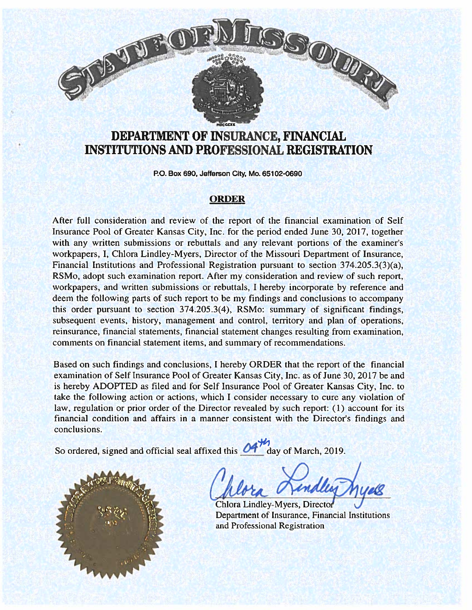# W.R

# DEPARTMENT OF INSURANCE, FINANCIAL INSTITUTIONS AND PROFESSIONAL REGISTRATION

P0. Box 690, Jefferson City. Mo. 65102-0690

### **ORDER**

After full consideration and review of the repor<sup>t</sup> of the financial examination of Self Insurance Pool of Greater Kansas City, Inc. for the period ended June 30, 2017, together with any written submissions or rebuttals and any relevant portions of the examiner's workpapers, I, Chlora Lindley-Myers, Director of the Missouri Department of Insurance, Financial Institutions and Professional Registration pursuan<sup>t</sup> to section 374.205.3(3)(a), RSMo, adopt such examination report. After my consideration and review of such report, workpapers, and written submissions or rebuttals, I hereby incorporate by reference and deem the following parts of such repor<sup>t</sup> to be my findings and conclusions to accompany this order pursuan<sup>t</sup> to section 374.205.3(4), RSMo: summary of significant findings, subsequent events, history, managemen<sup>t</sup> and control, territory and plan of operations, reinsurance, financial statements, financial statement changes resulting from examination, comments on financial statement items, and summary of recommendations.

Based on such findings and conclusions, I hereby ORDER that the repor<sup>t</sup> of the financial examination of Self Insurance Pool of Greater Kansas City, Inc. as of June 30, 2017 be and is hereby ADOPTED as filed and for Self Insurance Pool of Greater Kansas City, Inc. to take the following action or actions, which I consider necessary to cure any violation of law, regulation or prior order of the Director revealed by such report: (1) account for its financial condition and affairs in <sup>a</sup> manner consistent with the Director's findings and conclusions.

So ordered, signed and official seal affixed this  $\mathcal{O}$  day of March, 2019.

Chlora Lindley-Myers, Directo Department of Insurance, Financial Institutions and Professional Registration

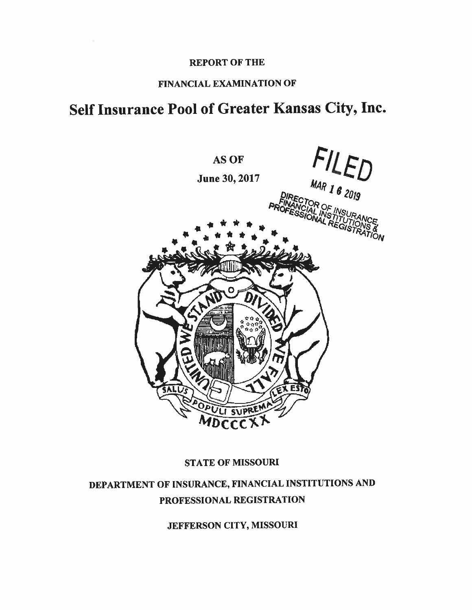### REPORT OF THE

### FINANCIAL EXAMINATION OF

# Self Insurance Pool of Greater Kansas City, Inc.



### STATE OF MISSOURI

# DEPARTMENT OF INSURANCE, FINANCIAL INSTITUTIONS AND PROFESSIONAL REGISTRATION

JEFFERSON CITY, MISSOURI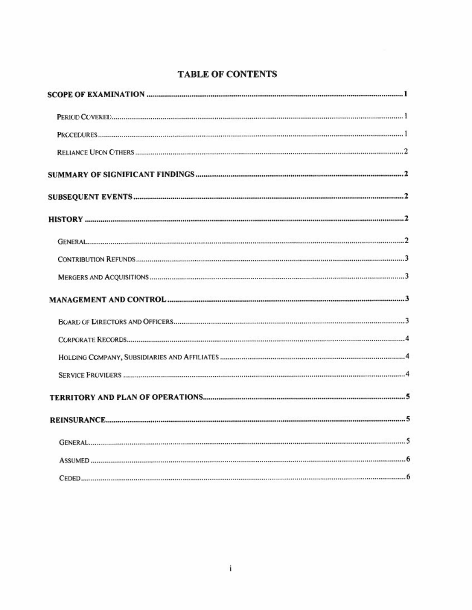## TABLE OF CONTENTS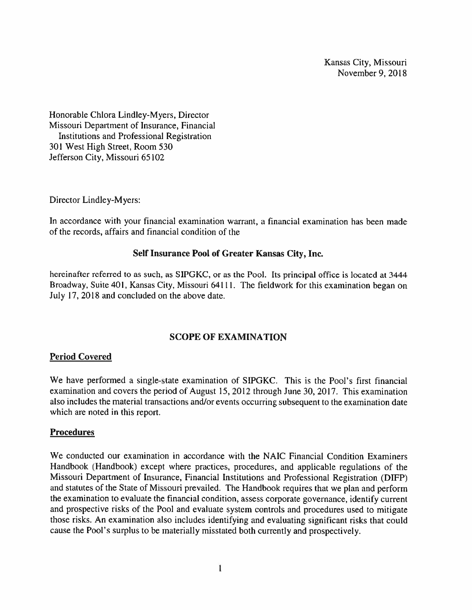Kansas City, Missouri November 9. 2018

Honorable Chlora Lindley-Myers, Director Missouri Department of Insurance, Financial Institutions and Professional Registration 301 West High Street, Room 530 Jefferson City, Missouri 65102

Director Lindley-Myers:

In accordance with your financial examination warrant, <sup>a</sup> financial examination has been made of the records, affairs and financial condition of the

### Self Insurance Pool of Greater Kansas City, Inc.

hereinafter referred to as such, as SIPGKC, or as the Pool. Its principal office is located at 3444 Broadway, Suite 401. Kansas City, Missouri 64111. The fieldwork for this examination began on July 17, 2018 and concluded on the above date.

### SCOPE OF EXAMINATION

### Period Covered

We have performed <sup>a</sup> single-state examination of SIPGKC. This is the Pool's first financial examination and covers the period of August 15. 2012 through June 30, 2017. This examination also includes the material transactions and/or events occurring subsequent to the examination date which are noted in this report.

### Procedures

We conducted our examination in accordance with the NAIC Financial Condition Examiners Handbook (Handbook) excep<sup>t</sup> where practices, procedures, and applicable regulations of the Missouri Department of Insurance, Financial Institutions and Professional Registration (DJFP) and statutes of the State of Missouri prevailed. The Handbook requires that we <sup>p</sup>lan and perform the examination to evaluate the financial condition, assess corporate governance, identify current and prospective risks of the Pool and evaluate system controls and procedures used to mitigate those risks.An examination also includes identifying and evaluating significant risks that could cause the Pool's surplus to be materially misstated both currently and prospectively.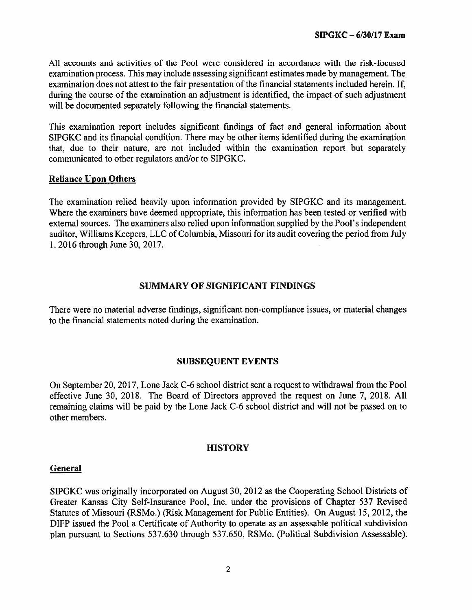All accounts and activities of the Pool were considered in accordance with the risk-focused examination process. This may include assessing significant estimates made by management. The examination does not attest to the fair presentation of the financial statements included herein. If, during the course of the examination an adjustment is identified, the impact of such adjustment will be documented separately following the financial statements.

This examination repor<sup>t</sup> includes significant findings of fact and general information about SIPGKC and its financial condition. There may be other items identified during the examination that, due to their nature, are not included within the examination repor<sup>t</sup> but separately communicated to other regulators and/or to SIPGKC.

### Reliance Upon Others

The examination relied heavily upon information provided by SIPGKC and its management. Where the examiners have deemed appropriate, this information has been tested or verified with external sources. The examiners also relied upon information supplied by the Pool's independent auditor, Williams Keepers, LLC of Columbia, Missouri for its audit covering the period from July 1.2016 through June 30, 2017.

### SUMMARY OF SIGNIFICANT FINDINGS

There were no material adverse findings, significant non-compliance issues, or material changes to the financial statements noted during the examination.

### SUBSEQUENT EVENTS

On September 20, 2017, Lone Jack C-6 school district sent <sup>a</sup> reques<sup>t</sup> to withdrawal from the Pool effective June 30, 2018. The Board of Directors approved the reques<sup>t</sup> on June 7, 2018. All remaining claims will be paid by the Lone Jack C-6 school district and will not be passed on to other members.

### **HISTORY**

### General

SIPGKC was originally incorporated on August 30, 2012 as the Cooperating School Districts of Greater Kansas City Self-Insurance Pool, Inc. under the provisions of Chapter 537 Revised Statutes of Missouri (RSM0.) (Risk Management for Public Entities). On August 15, 2012, the DIFP issued the Pool <sup>a</sup> Certificate of Authority to operate as an assessable political subdivision plan pursuan<sup>t</sup> to Sections 537.630 through 537.650, RSMo. (Political Subdivision Assessable).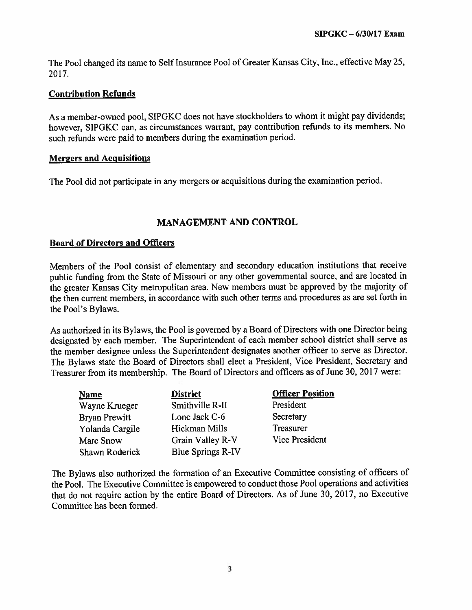The Pool changed its name to Self Insurance Pool of Greater Kansas City, Inc.. effective May 25, 2017.

### Contribution Refunds

As <sup>a</sup> member-owned pooi. SIPGKC does not have stockholders to whom it might pay dividends; however, SIPGKC can, as circumstances warrant, pay contribution refunds to its members. No such refunds were paid to members during the examination period.

### Mergers and Acquisitions

The Pool did not participate in any mergers or acquisitions during the examination period.

### MANAGEMENT AND CONTROL

### Board of Directors and Officers

Members of the Pool consist of elementary and secondary education institutions that receive public funding from the State of Missouri or any other governmental source, and are located in the greater Kansas City metropolitan area. New members must be approve<sup>d</sup> by the majority of the then current members, in accordance with such other terms and procedures as are set forth in the Pool's Bylaws.

As authorized in its Bylaws, the Pool is governe<sup>d</sup> by <sup>a</sup> Board of Directors with one Director being designated by each member. The Superintendent of each member school district shall serve as the member designee unless the Superintendent designates another officer to serve as Director. The Bylaws state the Board of Directors shall elect <sup>a</sup> President. Vice President, Secretary and Treasurer from its membership. The Board of Directors and officers as of June 30. <sup>2017</sup> were:

| <b>Name</b>          | <b>District</b>          | <b>Officer Position</b> |
|----------------------|--------------------------|-------------------------|
| Wayne Krueger        | Smithville R-II          | President               |
| <b>Bryan Prewitt</b> | Lone Jack C-6            | Secretary               |
| Yolanda Cargile      | Hickman Mills            | Treasurer               |
| Marc Snow            | Grain Valley R-V         | Vice President          |
| Shawn Roderick       | <b>Blue Springs R-IV</b> |                         |

The Bylaws also authorized the formation of an Executive Committee consisting of officers of the Pool. The Executive Committee is empowered to conduct those Pool operations and activities that do not require action by the entire Board of Directors. As of June 30, 2017, no Executive Committee has been formed.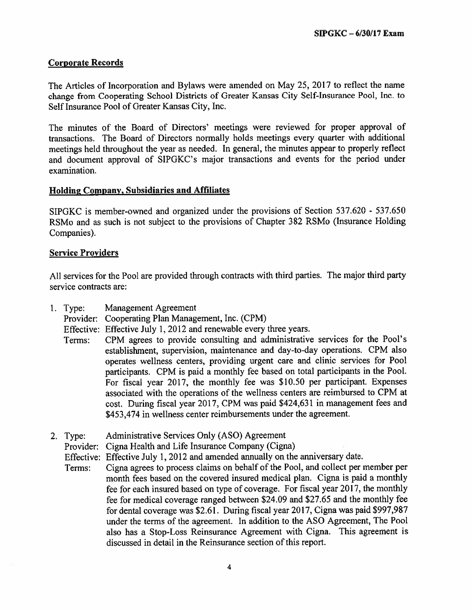### Corporate Records

The Articles of Incorporation and Bylaws were amended on May 25. <sup>2017</sup> to reflect the name change from Cooperating School Districts of Greater Kansas City Self-Insurance Pool, Inc. to Self Insurance Pool of Greater Kansas City, Inc.

The minutes of the Board of Directors' meetings were reviewed for proper approval of transactions. The Board of Directors normally holds meetings every quarter with additional meetings held throughout the year as needed. In general, the minutes appear to properly reflect and document approva<sup>l</sup> of SIPGKC's major transactions and events for the period under examination.

### Holding Company, Subsidiaries and Affiliates

SIPGKC is member-owned and organized under the provisions of Section 537.620 - 537.650 RSMo and as such is not subject to the provisions of Chapter <sup>382</sup> RSMo (Insurance Holding Companies).

### Service Providers

All services for the Pool are provided through contracts with third parties. The major third party service contracts are:

- 1. Type: Management Agreement
	- Provider: Cooperating Plan Management, Inc. (CPM)
	- Effective: Effective July 1, 2012 and renewable every three years.
	- Terms: CPM agrees to provide consulting and administrative services for the Pool's establishment, supervision, maintenance and day-to-day operations. CPM also operates weliness centers, providing urgen<sup>t</sup> care and clinic services for Pool participants. CPM is paid <sup>a</sup> monthly fee based on total participants in the Pool, For fiscal year 2017, the monthly fee was \$10.50 per participant. Expenses associated with the operations of the wellness centers are reimbursed to CPM at cost. During fiscal year 2017, CPM was paid \$424,631 in managemen<sup>t</sup> fees and \$453.474 in wellness center reimbursements under the agreement.
- 2. Type: Administrative Services Only (ASO) Agreement

Provider: Cigna Health and Life Insurance Company (Cigna)

Effective: Effective July 1, 2012 and amended annually on the anniversary date.

Terms: Cigna agrees to process claims on behalf of the Pool, and collect per member per month fees based on the covered insured medical <sup>p</sup>lan. Cigna is paid <sup>a</sup> monthly fee for each insured based on type of coverage. For fiscal year 2017, the monthly fee for medical coverage ranged between \$24.09 and \$27.65 and the monthly fee for dental coverage was \$2.61. During fiscal year 2017, Cigna was paid \$997,987 under the terms of the agreement. In addition to the ASO Agreement, The Pool also has <sup>a</sup> Stop-Loss Reinsurance Agreement with Cigna. This agreemen<sup>t</sup> is discussed in detail in the Reinsurance section of this report.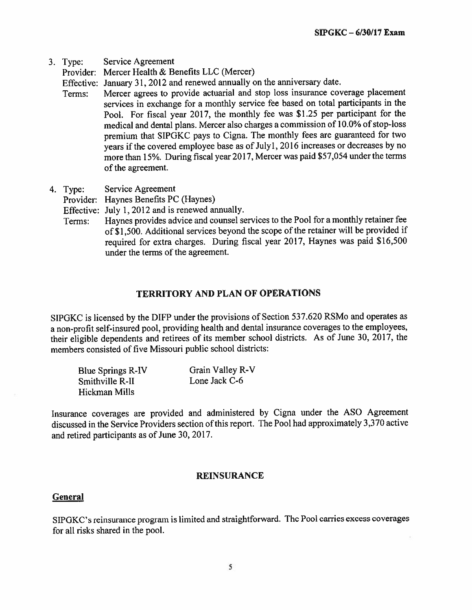3. Type: Service Agreement

Provider: Mercer Health & Benefits LLC (Mercer)

Effective: January 31, <sup>2012</sup> and renewed annually on the anniversary date.

- Terms: Mercer agrees to provide actuarial and stop loss insurance coverage <sup>p</sup>lacement services in exchange for <sup>a</sup> monthly service fee based on total participants in the Pool. For fiscal year 2017, the monthly fee was \$1.25 per participant for the medical and dental <sup>p</sup>lans. Mercer also charges <sup>a</sup> commission of 10.0% of stop-loss premium that SIPGKC pays to Cigna. The monthly fees are guaranteed for two years if the covered employee base as of Julyl, <sup>2016</sup> increases or decreases by no more than 15%. During fiscal year 2017. Mercer was paid \$57,054 under the terms of the agreement.
- 4. Type: Service Agreement

Provider: Haynes Benefits PC (Haynes)

Effective: July 1,2012 and is renewed annually.

Terms: Haynes provides advice and counsel services to the Pool for <sup>a</sup> monthly retainer fee of\$1,500. Additional services beyond the scope of the retainer will be provided if required for extra charges. During fiscal year 2017, Haynes was paid \$16,500 under the terms of the agreement.

### TERRITORY AND PLAN OF OPERATIONS

SIPGKC is licensed by the DIFP under the provisions of Section 537.620 RSMo and operates as <sup>a</sup> non-profit self-insured pool, providing health and dental insurance coverages to the employees, their eligible dependents and retirees of its member school districts. As of June 30, 2017, the members consisted of five Missouri public school districts:

| Blue Springs R-IV | Grain Valley R-V |
|-------------------|------------------|
| Smithville R-II   | Lone Jack C-6    |
| Hickman Mills     |                  |

Insurance coverages are provided and administered by Cigna under the ASO Agreement discussed in the Service Providers section ofthis report. The Pool had approximately 3,370 active and retired participants as of June 30, 2017.

### REINSURANCE

### **General**

SIPGKC's reinsurance program is limited and straightforward. The Pool carries excess coverages for all risks shared in the pool.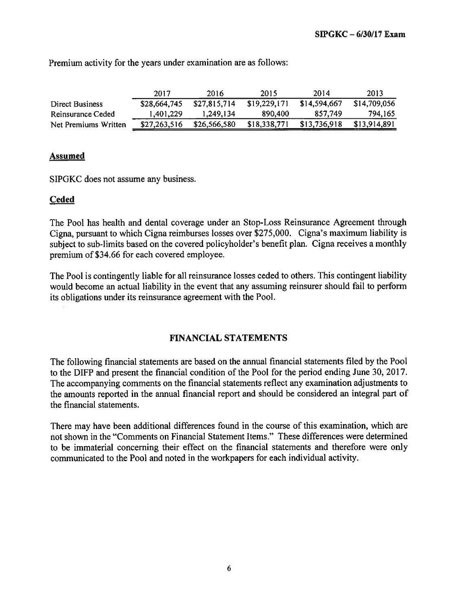|                      | 2017         | 2016         | 2015         | 2014         | 2013         |
|----------------------|--------------|--------------|--------------|--------------|--------------|
| Direct Business      | \$28,664,745 | \$27,815,714 | \$19,229,171 | \$14,594,667 | \$14,709,056 |
| Reinsurance Ceded    | 1.401,229    | 1.249.134    | 890,400      | 857.749      | 794.165      |
| Net Premiums Written | \$27,263,516 | \$26,566,580 | \$18,338,771 | \$13,736,918 | \$13,914,891 |

Premium activity for the years under examination are as follows:

### Assumed

SIPGKC does not assume any business.

### Ceded

The Pool has health and dental coverage under an Stop-Loss Reinsurance Agreement through Cigna, pursuan<sup>t</sup> to which Cigna reimburses losses over \$275,000. Cigna's maximum liability is subject to sub-limits based on the covered policyholder's benefit <sup>p</sup>lan. Cigna receives <sup>a</sup> monthly premium of \$34.66 for each covered employee.

The Pool is contingently liable for all reinsurance losses ceded to others. This contingent liability would become an actual liability in the event that any assuming reinsurer should fail to perform its obligations under its reinsurance agreemen<sup>t</sup> with the Pool.

### FINANCIAL STATEMENTS

The following financial statements are based on the annual financial statements filed by the Pool to the DIFP and presen<sup>t</sup> the financial condition of the Pool for the period ending June 30, 2017. The accompanying comments on the financial statements reflect any examination adjustments to the amounts reported in the annual financial repor<sup>t</sup> and should be considered an integral par<sup>t</sup> of the financial statements.

There may have been additional differences found in the course of this examination, which are not shown in the "Comments on Financial Statement Items." These differences were determined to be immaterial concerning their effect on the financial statements and therefore were only communicated to the Pool and noted in the workpapers for each individual activity.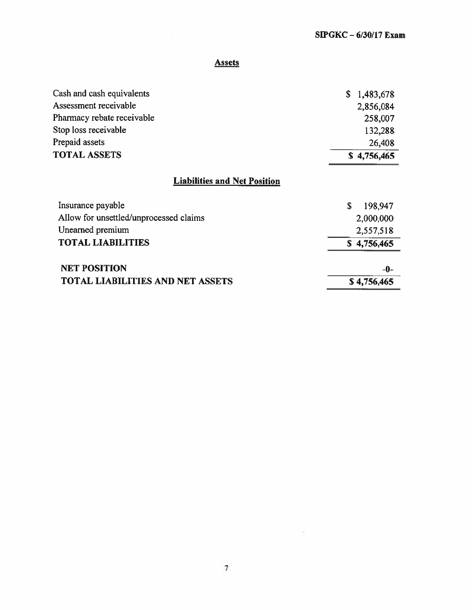### **Assets**

| Cash and cash equivalents               | 1,483,678<br>\$ |
|-----------------------------------------|-----------------|
| Assessment receivable                   | 2,856,084       |
| Pharmacy rebate receivable              | 258,007         |
| Stop loss receivable                    | 132,288         |
| Prepaid assets                          | 26,408          |
| <b>TOTAL ASSETS</b>                     | \$4,756,465     |
| <b>Liabilities and Net Position</b>     |                 |
| Insurance payable                       | \$<br>198,947   |
| Allow for unsettled/unprocessed claims  | 2,000,000       |
| Unearned premium                        | 2,557,518       |
| <b>TOTAL LIABILITIES</b>                | \$4,756,465     |
| <b>NET POSITION</b>                     | -0-             |
| <b>TOTAL LIABILITIES AND NET ASSETS</b> | \$4,756,465     |

 $\frac{\partial \mathcal{L}(\mathcal{L})}{\partial \mathcal{L}(\mathcal{L})}$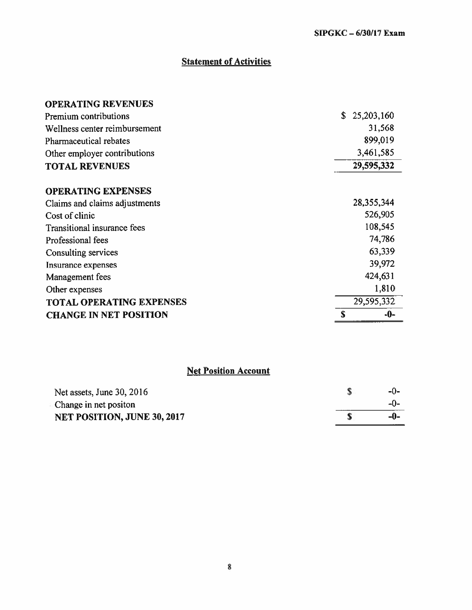# **Statement of Activities**

| <b>OPERATING REVENUES</b>       |   |              |
|---------------------------------|---|--------------|
| <b>Premium contributions</b>    |   | \$25,203,160 |
| Wellness center reimbursement   |   | 31,568       |
| Pharmaceutical rebates          |   | 899,019      |
| Other employer contributions    |   | 3,461,585    |
| <b>TOTAL REVENUES</b>           |   | 29,595,332   |
| <b>OPERATING EXPENSES</b>       |   |              |
| Claims and claims adjustments   |   | 28, 355, 344 |
| Cost of clinic                  |   | 526,905      |
| Transitional insurance fees     |   | 108,545      |
| Professional fees               |   | 74,786       |
| Consulting services             |   | 63,339       |
| Insurance expenses              |   | 39,972       |
| Management fees                 |   | 424,631      |
| Other expenses                  |   | 1,810        |
| <b>TOTAL OPERATING EXPENSES</b> |   | 29,595,332   |
| <b>CHANGE IN NET POSITION</b>   | S | -0-          |

## Net Position Account

| <b>NET POSITION, JUNE 30, 2017</b> | -0-   |
|------------------------------------|-------|
| Change in net positon              |       |
| Net assets, June $30, 2016$        | $-()$ |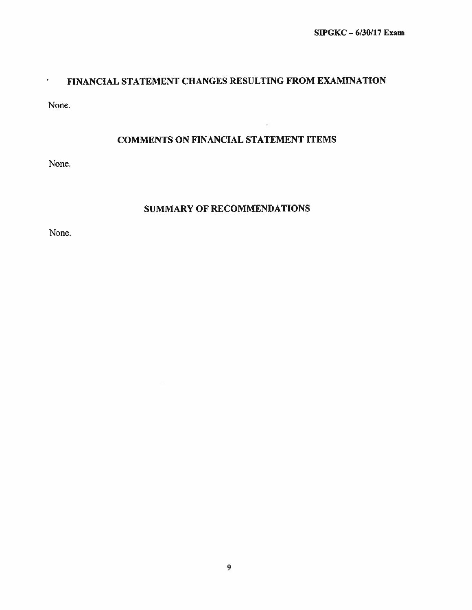### FINANCIAL STATEMENT CHANGES RESULTING FROM EXAMINATION

None.

### COMMENTS ON FINANCIAL STATEMENT ITEMS

None.

### SUMMARY OF RECOMMENDATIONS

None.